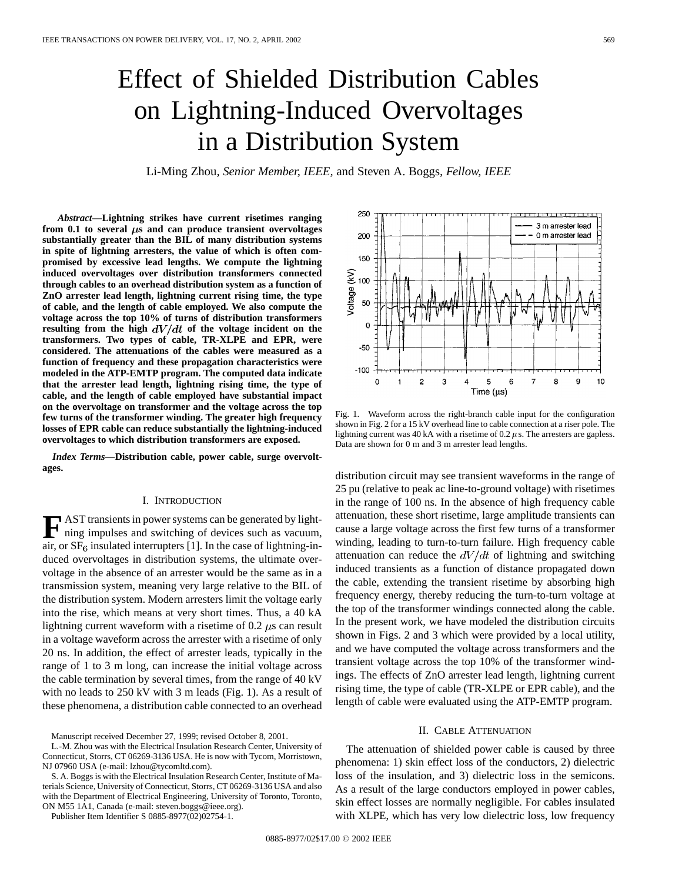# Effect of Shielded Distribution Cables on Lightning-Induced Overvoltages in a Distribution System

Li-Ming Zhou*, Senior Member, IEEE,* and Steven A. Boggs*, Fellow, IEEE*

*Abstract—***Lightning strikes have current risetimes ranging** from  $0.1$  to several  $\mu$ s and can produce transient overvoltages **substantially greater than the BIL of many distribution systems in spite of lightning arresters, the value of which is often compromised by excessive lead lengths. We compute the lightning induced overvoltages over distribution transformers connected through cables to an overhead distribution system as a function of ZnO arrester lead length, lightning current rising time, the type of cable, and the length of cable employed. We also compute the voltage across the top 10% of turns of distribution transformers** resulting from the high  $dV/dt$  of the voltage incident on the **transformers. Two types of cable, TR-XLPE and EPR, were considered. The attenuations of the cables were measured as a function of frequency and these propagation characteristics were modeled in the ATP-EMTP program. The computed data indicate that the arrester lead length, lightning rising time, the type of cable, and the length of cable employed have substantial impact on the overvoltage on transformer and the voltage across the top few turns of the transformer winding. The greater high frequency losses of EPR cable can reduce substantially the lightning-induced overvoltages to which distribution transformers are exposed.**

*Index Terms—***Distribution cable, power cable, surge overvoltages.**

#### I. INTRODUCTION

**F** AST transients in power systems can be generated by light-<br>ning impulses and switching of devices such as vacuum, air, or  $SF_6$  insulated interrupters [1]. In the case of lightning-induced overvoltages in distribution systems, the ultimate overvoltage in the absence of an arrester would be the same as in a transmission system, meaning very large relative to the BIL of the distribution system. Modern arresters limit the voltage early into the rise, which means at very short times. Thus, a 40 kA lightning current waveform with a risetime of 0.2  $\mu$ s can result in a voltage waveform across the arrester with a risetime of only 20 ns. In addition, the effect of arrester leads, typically in the range of 1 to 3 m long, can increase the initial voltage across the cable termination by several times, from the range of 40 kV with no leads to 250 kV with 3 m leads (Fig. 1). As a result of these phenomena, a distribution cable connected to an overhead

L.-M. Zhou was with the Electrical Insulation Research Center, University of Connecticut, Storrs, CT 06269-3136 USA. He is now with Tycom, Morristown, NJ 07960 USA (e-mail: lzhou@tycomltd.com).

S. A. Boggs is with the Electrical Insulation Research Center, Institute of Materials Science, University of Connecticut, Storrs, CT 06269-3136 USA and also with the Department of Electrical Engineering, University of Toronto, Toronto, ON M55 1A1, Canada (e-mail: steven.boggs@ieee.org).

Publisher Item Identifier S 0885-8977(02)02754-1.



Fig. 1. Waveform across the right-branch cable input for the configuration shown in Fig. 2 for a 15 kV overhead line to cable connection at a riser pole. The lightning current was 40 kA with a risetime of 0.2  $\mu$ s. The arresters are gapless. Data are shown for 0 m and 3 m arrester lead lengths.

distribution circuit may see transient waveforms in the range of 25 pu (relative to peak ac line-to-ground voltage) with risetimes in the range of 100 ns. In the absence of high frequency cable attenuation, these short risetime, large amplitude transients can cause a large voltage across the first few turns of a transformer winding, leading to turn-to-turn failure. High frequency cable attenuation can reduce the  $dV/dt$  of lightning and switching induced transients as a function of distance propagated down the cable, extending the transient risetime by absorbing high frequency energy, thereby reducing the turn-to-turn voltage at the top of the transformer windings connected along the cable. In the present work, we have modeled the distribution circuits shown in Figs. 2 and 3 which were provided by a local utility, and we have computed the voltage across transformers and the transient voltage across the top 10% of the transformer windings. The effects of ZnO arrester lead length, lightning current rising time, the type of cable (TR-XLPE or EPR cable), and the length of cable were evaluated using the ATP-EMTP program.

# II. CABLE ATTENUATION

The attenuation of shielded power cable is caused by three phenomena: 1) skin effect loss of the conductors, 2) dielectric loss of the insulation, and 3) dielectric loss in the semicons. As a result of the large conductors employed in power cables, skin effect losses are normally negligible. For cables insulated with XLPE, which has very low dielectric loss, low frequency

Manuscript received December 27, 1999; revised October 8, 2001.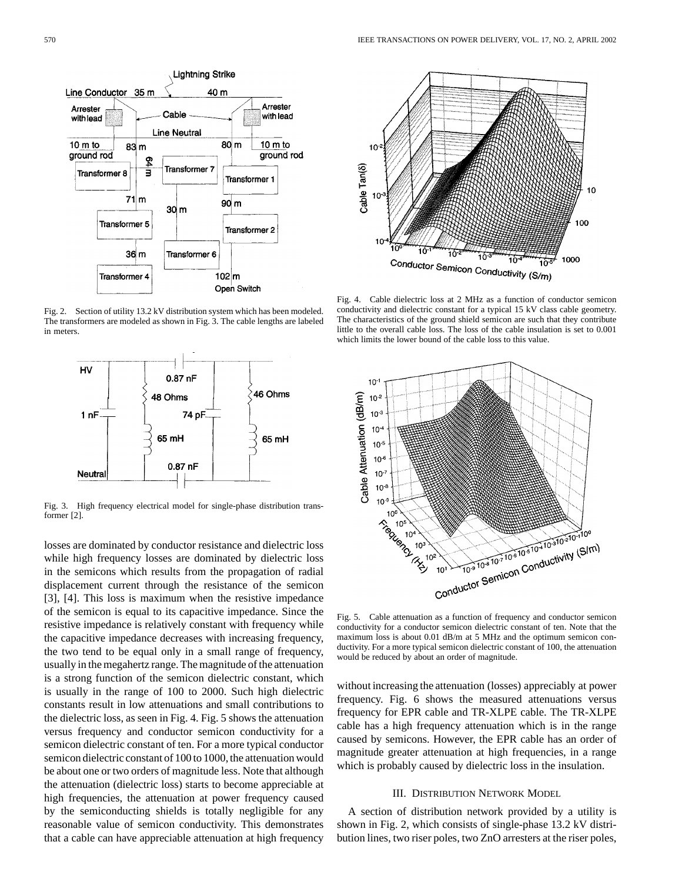

Fig. 2. Section of utility 13.2 kV distribution system which has been modeled. The transformers are modeled as shown in Fig. 3. The cable lengths are labeled in meters.



Fig. 3. High frequency electrical model for single-phase distribution transformer [2].

losses are dominated by conductor resistance and dielectric loss while high frequency losses are dominated by dielectric loss in the semicons which results from the propagation of radial displacement current through the resistance of the semicon [3], [4]. This loss is maximum when the resistive impedance of the semicon is equal to its capacitive impedance. Since the resistive impedance is relatively constant with frequency while the capacitive impedance decreases with increasing frequency, the two tend to be equal only in a small range of frequency, usually in the megahertz range. The magnitude of the attenuation is a strong function of the semicon dielectric constant, which is usually in the range of 100 to 2000. Such high dielectric constants result in low attenuations and small contributions to the dielectric loss, as seen in Fig. 4. Fig. 5 shows the attenuation versus frequency and conductor semicon conductivity for a semicon dielectric constant of ten. For a more typical conductor semicon dielectric constant of 100 to 1000, the attenuation would be about one or two orders of magnitude less. Note that although the attenuation (dielectric loss) starts to become appreciable at high frequencies, the attenuation at power frequency caused by the semiconducting shields is totally negligible for any reasonable value of semicon conductivity. This demonstrates that a cable can have appreciable attenuation at high frequency



Fig. 4. Cable dielectric loss at 2 MHz as a function of conductor semicon conductivity and dielectric constant for a typical 15 kV class cable geometry. The characteristics of the ground shield semicon are such that they contribute little to the overall cable loss. The loss of the cable insulation is set to 0.001 which limits the lower bound of the cable loss to this value.



Fig. 5. Cable attenuation as a function of frequency and conductor semicon conductivity for a conductor semicon dielectric constant of ten. Note that the maximum loss is about 0.01 dB/m at 5 MHz and the optimum semicon conductivity. For a more typical semicon dielectric constant of 100, the attenuation would be reduced by about an order of magnitude.

without increasing the attenuation (losses) appreciably at power frequency. Fig. 6 shows the measured attenuations versus frequency for EPR cable and TR-XLPE cable. The TR-XLPE cable has a high frequency attenuation which is in the range caused by semicons. However, the EPR cable has an order of magnitude greater attenuation at high frequencies, in a range which is probably caused by dielectric loss in the insulation.

### III. DISTRIBUTION NETWORK MODEL

A section of distribution network provided by a utility is shown in Fig. 2, which consists of single-phase 13.2 kV distribution lines, two riser poles, two ZnO arresters at the riser poles,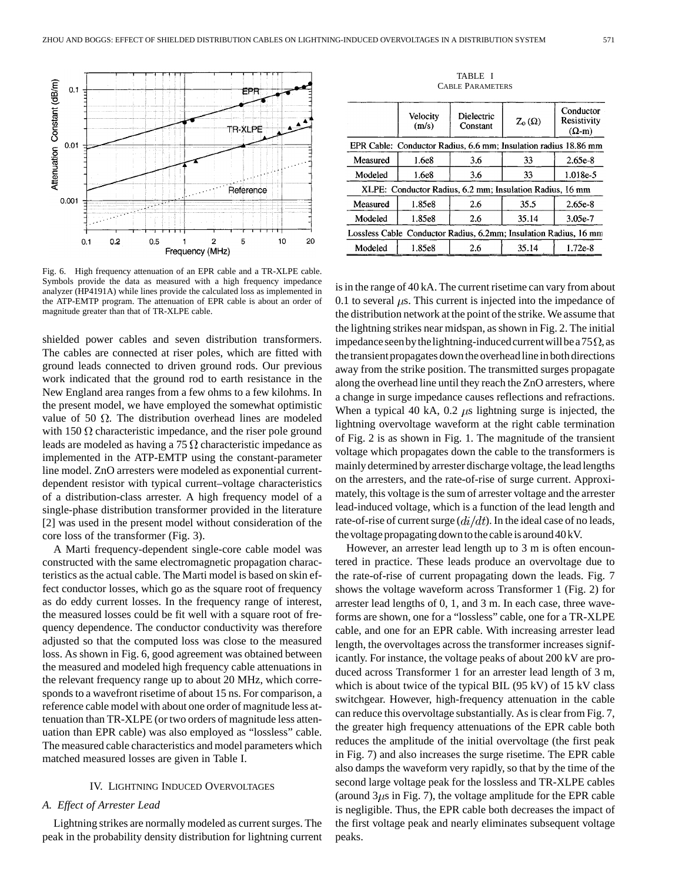

Fig. 6. High frequency attenuation of an EPR cable and a TR-XLPE cable. Symbols provide the data as measured with a high frequency impedance analyzer (HP4191A) while lines provide the calculated loss as implemented in the ATP-EMTP program. The attenuation of EPR cable is about an order of magnitude greater than that of TR-XLPE cable.

shielded power cables and seven distribution transformers. The cables are connected at riser poles, which are fitted with ground leads connected to driven ground rods. Our previous work indicated that the ground rod to earth resistance in the New England area ranges from a few ohms to a few kilohms. In the present model, we have employed the somewhat optimistic value of 50  $\Omega$ . The distribution overhead lines are modeled with 150  $\Omega$  characteristic impedance, and the riser pole ground leads are modeled as having a 75  $\Omega$  characteristic impedance as implemented in the ATP-EMTP using the constant-parameter line model. ZnO arresters were modeled as exponential currentdependent resistor with typical current–voltage characteristics of a distribution-class arrester. A high frequency model of a single-phase distribution transformer provided in the literature [2] was used in the present model without consideration of the core loss of the transformer (Fig. 3).

A Marti frequency-dependent single-core cable model was constructed with the same electromagnetic propagation characteristics as the actual cable. The Marti model is based on skin effect conductor losses, which go as the square root of frequency as do eddy current losses. In the frequency range of interest, the measured losses could be fit well with a square root of frequency dependence. The conductor conductivity was therefore adjusted so that the computed loss was close to the measured loss. As shown in Fig. 6, good agreement was obtained between the measured and modeled high frequency cable attenuations in the relevant frequency range up to about 20 MHz, which corresponds to a wavefront risetime of about 15 ns. For comparison, a reference cable model with about one order of magnitude less attenuation than TR-XLPE (or two orders of magnitude less attenuation than EPR cable) was also employed as "lossless" cable. The measured cable characteristics and model parameters which matched measured losses are given in Table I.

#### IV. LIGHTNING INDUCED OVERVOLTAGES

### *A. Effect of Arrester Lead*

Lightning strikes are normally modeled as current surges. The peak in the probability density distribution for lightning current

TABLE I CABLE PARAMETERS

|                                                                  | Velocity<br>(m/s) | Dielectric<br>Constant | $Z_{0}(\Omega)$ | Conductor<br>Resistivity<br>$(\Omega - m)$ |
|------------------------------------------------------------------|-------------------|------------------------|-----------------|--------------------------------------------|
| EPR Cable: Conductor Radius, 6.6 mm; Insulation radius 18.86 mm  |                   |                        |                 |                                            |
| Measured                                                         | 1.6e8             | 3.6                    | 33              | $2.65e-8$                                  |
| Modeled                                                          | 1.6e8             | 3.6                    | 33              | 1.018e-5                                   |
| XLPE: Conductor Radius, 6.2 mm; Insulation Radius, 16 mm         |                   |                        |                 |                                            |
| Measured                                                         | 1.85e8            | 2.6                    | 35.5            | $2.65e-8$                                  |
| Modeled                                                          | 1.85e8            | 2.6                    | 35.14           | 3.05e-7                                    |
| Lossless Cable Conductor Radius, 6.2mm; Insulation Radius, 16 mm |                   |                        |                 |                                            |
| Modeled                                                          | 1.85e8            | 2.6                    | 35.14           | $1.72e-8$                                  |

is in the range of 40 kA. The current risetime can vary from about 0.1 to several  $\mu$ s. This current is injected into the impedance of the distribution network at the point of the strike. We assume that the lightning strikes near midspan, as shown in Fig. 2. The initial impedance seen by the lightning-induced current will be a 75  $\Omega$ , as the transient propagates down the overhead line in both directions away from the strike position. The transmitted surges propagate along the overhead line until they reach the ZnO arresters, where a change in surge impedance causes reflections and refractions. When a typical 40 kA, 0.2  $\mu$ s lightning surge is injected, the lightning overvoltage waveform at the right cable termination of Fig. 2 is as shown in Fig. 1. The magnitude of the transient voltage which propagates down the cable to the transformers is mainly determined by arrester discharge voltage, the lead lengths on the arresters, and the rate-of-rise of surge current. Approximately, this voltage is the sum of arrester voltage and the arrester lead-induced voltage, which is a function of the lead length and rate-of-rise of current surge  $\left(\frac{di}{dt}\right)$ . In the ideal case of no leads, the voltage propagating down to thecable is around 40 kV.

However, an arrester lead length up to 3 m is often encountered in practice. These leads produce an overvoltage due to the rate-of-rise of current propagating down the leads. Fig. 7 shows the voltage waveform across Transformer 1 (Fig. 2) for arrester lead lengths of 0, 1, and 3 m. In each case, three waveforms are shown, one for a "lossless" cable, one for a TR-XLPE cable, and one for an EPR cable. With increasing arrester lead length, the overvoltages across the transformer increases significantly. For instance, the voltage peaks of about 200 kV are produced across Transformer 1 for an arrester lead length of 3 m, which is about twice of the typical BIL (95 kV) of 15 kV class switchgear. However, high-frequency attenuation in the cable can reduce this overvoltage substantially. As is clear from Fig. 7, the greater high frequency attenuations of the EPR cable both reduces the amplitude of the initial overvoltage (the first peak in Fig. 7) and also increases the surge risetime. The EPR cable also damps the waveform very rapidly, so that by the time of the second large voltage peak for the lossless and TR-XLPE cables (around  $3\mu s$  in Fig. 7), the voltage amplitude for the EPR cable is negligible. Thus, the EPR cable both decreases the impact of the first voltage peak and nearly eliminates subsequent voltage peaks.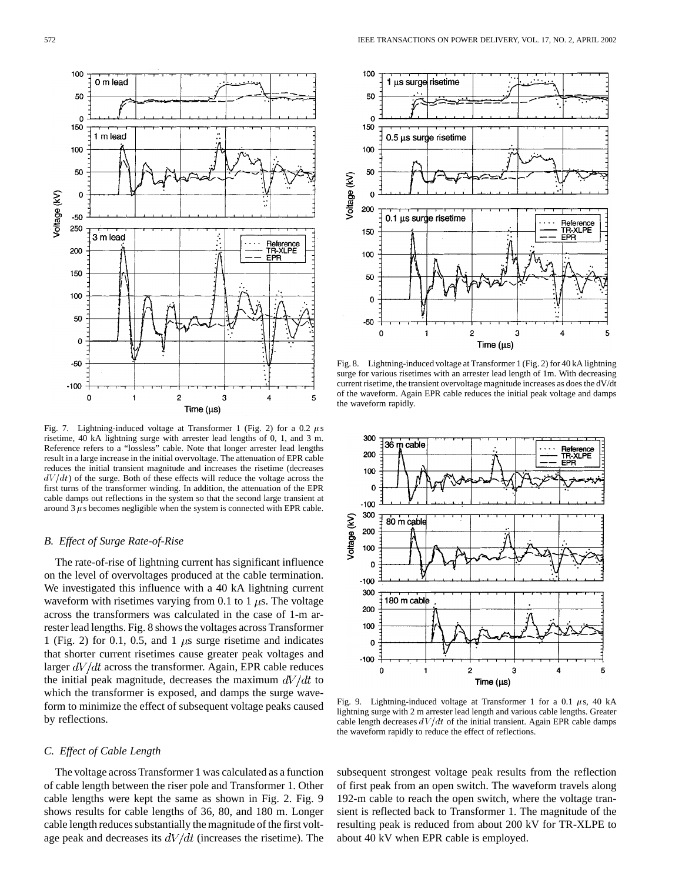

Fig. 7. Lightning-induced voltage at Transformer 1 (Fig. 2) for a 0.2  $\mu$ s risetime, 40 kA lightning surge with arrester lead lengths of 0, 1, and 3 m. Reference refers to a "lossless" cable. Note that longer arrester lead lengths result in a large increase in the initial overvoltage. The attenuation of EPR cable reduces the initial transient magnitude and increases the risetime (decreases  $dV/dt$ ) of the surge. Both of these effects will reduce the voltage across the first turns of the transformer winding. In addition, the attenuation of the EPR cable damps out reflections in the system so that the second large transient at around 3  $\mu$  s becomes negligible when the system is connected with EPR cable.

#### *B. Effect of Surge Rate-of-Rise*

The rate-of-rise of lightning current has significant influence on the level of overvoltages produced at the cable termination. We investigated this influence with a 40 kA lightning current waveform with risetimes varying from 0.1 to 1  $\mu$ s. The voltage across the transformers was calculated in the case of 1-m arrester lead lengths. Fig. 8 shows the voltages across Transformer 1 (Fig. 2) for 0.1, 0.5, and 1  $\mu$ s surge risetime and indicates that shorter current risetimes cause greater peak voltages and larger  $dV/dt$  across the transformer. Again, EPR cable reduces the initial peak magnitude, decreases the maximum  $dV/dt$  to which the transformer is exposed, and damps the surge waveform to minimize the effect of subsequent voltage peaks caused by reflections.

# *C. Effect of Cable Length*

The voltage across Transformer 1 was calculated as a function of cable length between the riser pole and Transformer 1. Other cable lengths were kept the same as shown in Fig. 2. Fig. 9 shows results for cable lengths of 36, 80, and 180 m. Longer cable length reduces substantially the magnitude of the first voltage peak and decreases its  $dV/dt$  (increases the risetime). The



Fig. 8. Lightning-induced voltage at Transformer 1 (Fig. 2) for 40 kA lightning surge for various risetimes with an arrester lead length of 1m. With decreasing current risetime, the transient overvoltage magnitude increases as does the dV/dt of the waveform. Again EPR cable reduces the initial peak voltage and damps the waveform rapidly.



Fig. 9. Lightning-induced voltage at Transformer 1 for a 0.1  $\mu$ s, 40 kA lightning surge with 2 m arrester lead length and various cable lengths. Greater cable length decreases  $dV/dt$  of the initial transient. Again EPR cable damps the waveform rapidly to reduce the effect of reflections.

subsequent strongest voltage peak results from the reflection of first peak from an open switch. The waveform travels along 192-m cable to reach the open switch, where the voltage transient is reflected back to Transformer 1. The magnitude of the resulting peak is reduced from about 200 kV for TR-XLPE to about 40 kV when EPR cable is employed.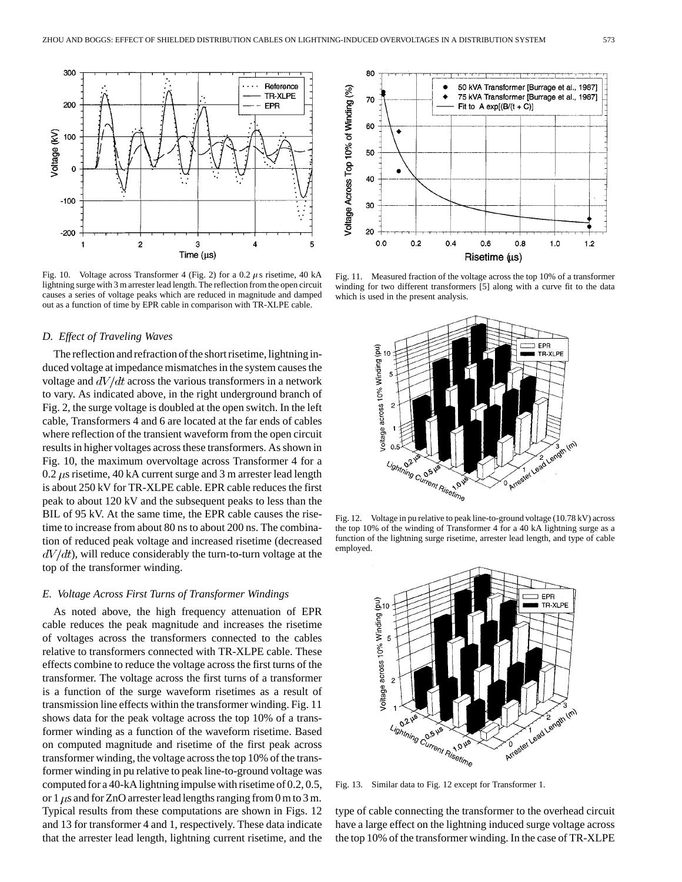

Fig. 10. Voltage across Transformer 4 (Fig. 2) for a 0.2  $\mu$ s risetime, 40 kA lightning surge with 3 m arrester lead length. The reflection from the open circuit causes a series of voltage peaks which are reduced in magnitude and damped out as a function of time by EPR cable in comparison with TR-XLPE cable.

## *D. Effect of Traveling Waves*

The reflection and refraction of the short risetime, lightning induced voltage at impedance mismatches in the system causes the voltage and  $dV/dt$  across the various transformers in a network to vary. As indicated above, in the right underground branch of Fig. 2, the surge voltage is doubled at the open switch. In the left cable, Transformers 4 and 6 are located at the far ends of cables where reflection of the transient waveform from the open circuit results in higher voltages across these transformers. As shown in Fig. 10, the maximum overvoltage across Transformer 4 for a 0.2  $\mu$ s risetime, 40 kA current surge and 3 m arrester lead length is about 250 kV for TR-XLPE cable. EPR cable reduces the first peak to about 120 kV and the subsequent peaks to less than the BIL of 95 kV. At the same time, the EPR cable causes the risetime to increase from about 80 ns to about 200 ns. The combination of reduced peak voltage and increased risetime (decreased  $dV/dt$ , will reduce considerably the turn-to-turn voltage at the top of the transformer winding.

## *E. Voltage Across First Turns of Transformer Windings*

As noted above, the high frequency attenuation of EPR cable reduces the peak magnitude and increases the risetime of voltages across the transformers connected to the cables relative to transformers connected with TR-XLPE cable. These effects combine to reduce the voltage across the first turns of the transformer. The voltage across the first turns of a transformer is a function of the surge waveform risetimes as a result of transmission line effects within the transformer winding. Fig. 11 shows data for the peak voltage across the top 10% of a transformer winding as a function of the waveform risetime. Based on computed magnitude and risetime of the first peak across transformer winding, the voltage across the top 10% of the transformer winding in pu relative to peak line-to-ground voltage was computed for a 40-kA lightning impulse with risetime of 0.2, 0.5, or 1  $\mu$ s and for ZnO arrester lead lengths ranging from 0 m to 3 m. Typical results from these computations are shown in Figs. 12 and 13 for transformer 4 and 1, respectively. These data indicate that the arrester lead length, lightning current risetime, and the



Fig. 11. Measured fraction of the voltage across the top 10% of a transformer winding for two different transformers [5] along with a curve fit to the data which is used in the present analysis.



Fig. 12. Voltage in pu relative to peak line-to-ground voltage (10.78 kV) across the top 10% of the winding of Transformer 4 for a 40 kA lightning surge as a function of the lightning surge risetime, arrester lead length, and type of cable employed.



Fig. 13. Similar data to Fig. 12 except for Transformer 1.

type of cable connecting the transformer to the overhead circuit have a large effect on the lightning induced surge voltage across the top 10% of the transformer winding. In the case of TR-XLPE